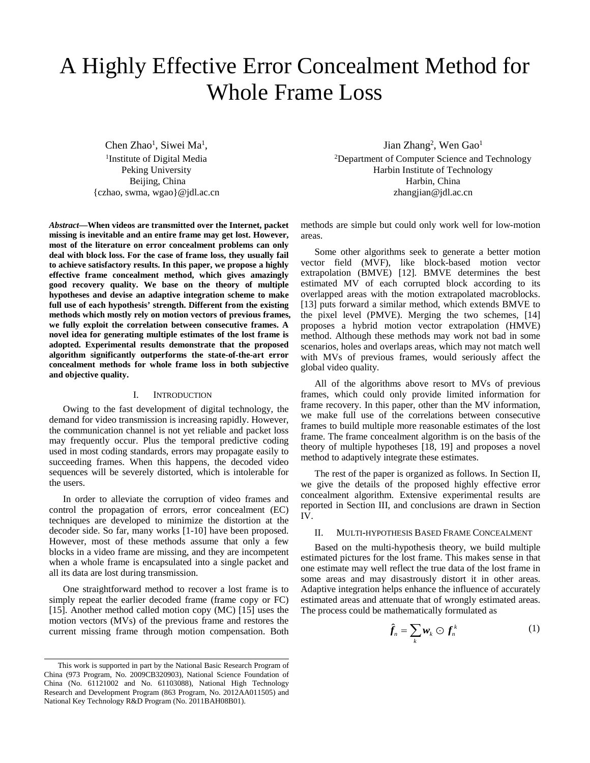# A Highly Effective Error Concealment Method for Whole Frame Loss

Chen Zhao<sup>1</sup>, Siwei Ma<sup>1</sup>,<br><sup>1</sup>Institute of Digital Media <sup>1</sup>Institute of Digital Media Peking University Beijing, China {czhao, swma, wgao}@jdl.ac.cn

*Abstract***—When videos are transmitted over the Internet, packet missing is inevitable and an entire frame may get lost. However, most of the literature on error concealment problems can only deal with block loss. For the case of frame loss, they usually fail to achieve satisfactory results. In this paper, we propose a highly effective frame concealment method, which gives amazingly good recovery quality. We base on the theory of multiple hypotheses and devise an adaptive integration scheme to make full use of each hypothesis' strength. Different from the existing methods which mostly rely on motion vectors of previous frames, we fully exploit the correlation between consecutive frames. A novel idea for generating multiple estimates of the lost frame is adopted. Experimental results demonstrate that the proposed algorithm significantly outperforms the state-of-the-art error concealment methods for whole frame loss in both subjective and objective quality.**

### I. INTRODUCTION

Owing to the fast development of digital technology, the demand for video transmission is increasing rapidly. However, the communication channel is not yet reliable and packet loss may frequently occur. Plus the temporal predictive coding used in most coding standards, errors may propagate easily to succeeding frames. When this happens, the decoded video sequences will be severely distorted, which is intolerable for the users.

In order to alleviate the corruption of video frames and control the propagation of errors, error concealment (EC) techniques are developed to minimize the distortion at the decoder side. So far, many works [1-10] have been proposed. However, most of these methods assume that only a few blocks in a video frame are missing, and they are incompetent when a whole frame is encapsulated into a single packet and all its data are lost during transmission.

One straightforward method to recover a lost frame is to simply repeat the earlier decoded frame (frame copy or FC) [15]. Another method called motion copy (MC) [15] uses the motion vectors (MVs) of the previous frame and restores the current missing frame through motion compensation. Both

Jian Zhang<sup>2</sup>, Wen Gao<sup>1</sup> 2 Department of Computer Science and Technology Harbin Institute of Technology Harbin, China zhangjian@jdl.ac.cn

methods are simple but could only work well for low-motion areas.

Some other algorithms seek to generate a better motion vector field (MVF), like block-based motion vector extrapolation (BMVE) [12]. BMVE determines the best estimated MV of each corrupted block according to its overlapped areas with the motion extrapolated macroblocks. [13] puts forward a similar method, which extends BMVE to the pixel level (PMVE). Merging the two schemes, [14] proposes a hybrid motion vector extrapolation (HMVE) method. Although these methods may work not bad in some scenarios, holes and overlaps areas, which may not match well with MVs of previous frames, would seriously affect the global video quality.

All of the algorithms above resort to MVs of previous frames, which could only provide limited information for frame recovery. In this paper, other than the MV information, we make full use of the correlations between consecutive frames to build multiple more reasonable estimates of the lost frame. The frame concealment algorithm is on the basis of the theory of multiple hypotheses [18, 19] and proposes a novel method to adaptively integrate these estimates.

The rest of the paper is organized as follows. In Section II, we give the details of the proposed highly effective error concealment algorithm. Extensive experimental results are reported in Section III, and conclusions are drawn in Section IV.

## II. MULTI-HYPOTHESIS BASED FRAME CONCEALMENT

Based on the multi-hypothesis theory, we build multiple estimated pictures for the lost frame. This makes sense in that one estimate may well reflect the true data of the lost frame in some areas and may disastrously distort it in other areas. Adaptive integration helps enhance the influence of accurately estimated areas and attenuate that of wrongly estimated areas. The process could be mathematically formulated as

$$
\hat{f}_n = \sum_k \mathbf{w}_k \odot f_n^k \tag{1}
$$

This work is supported in part by the National Basic Research Program of China (973 Program, No. 2009CB320903), National Science Foundation of China (No. 61121002 and No. 61103088), National High Technology Research and Development Program (863 Program, No. 2012AA011505) and National Key Technology R&D Program (No. 2011BAH08B01).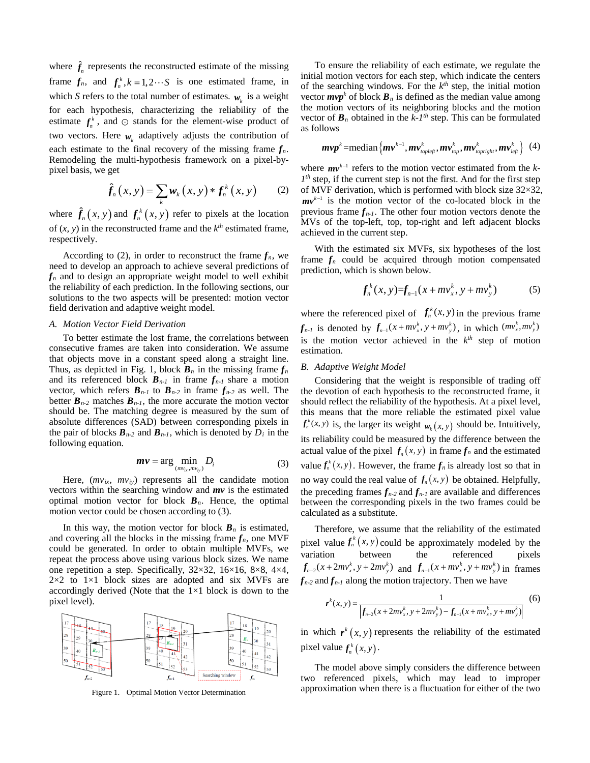where  $\hat{f}_n$  represents the reconstructed estimate of the missing frame  $f_n$ , and  $f_n^k$ ,  $k = 1, 2 \cdots S$  is one estimated frame, in which *S* refers to the total number of estimates.  $w_k$  is a weight for each hypothesis, characterizing the reliability of the estimate  $f_n^k$ , and  $\odot$  stands for the element-wise product of two vectors. Here  $w_k$  adaptively adjusts the contribution of each estimate to the final recovery of the missing frame  $f_n$ . Remodeling the multi-hypothesis framework on a pixel-bypixel basis, we get

$$
\hat{f}_n(x, y) = \sum_k \mathbf{w}_k(x, y) * f_n^k(x, y) \qquad (2)
$$

where  $\hat{f}_n(x, y)$  and  $f_n^k(x, y)$  refer to pixels at the location of  $(x, y)$  in the reconstructed frame and the  $k<sup>th</sup>$  estimated frame, respectively.

According to (2), in order to reconstruct the frame  $f_n$ , we need to develop an approach to achieve several predictions of *f<sup>n</sup>* and to design an appropriate weight model to well exhibit the reliability of each prediction. In the following sections, our solutions to the two aspects will be presented: motion vector field derivation and adaptive weight model.

#### *A. Motion Vector Field Derivation*

To better estimate the lost frame, the correlations between consecutive frames are taken into consideration. We assume that objects move in a constant speed along a straight line. Thus, as depicted in Fig. 1, block  $\mathbf{B}_n$  in the missing frame  $f_n$ and its referenced block  $B_{n-1}$  in frame  $f_{n-1}$  share a motion vector, which refers  $B_{n-1}$  to  $B_{n-2}$  in frame  $f_{n-2}$  as well. The better  $B_{n-2}$  matches  $B_{n-1}$ , the more accurate the motion vector should be. The matching degree is measured by the sum of absolute differences (SAD) between corresponding pixels in the pair of blocks  $\mathbf{B}_{n-2}$  and  $\mathbf{B}_{n-1}$ , which is denoted by  $D_i$  in the following equation.

$$
mv = \arg\min_{(mv_{ix}, mv_{iy})} D_i
$$
 (3)

Here,  $(mv_{ix}, mv_{iy})$  represents all the candidate motion vectors within the searching window and *mv* is the estimated optimal motion vector for block  $B_n$ . Hence, the optimal motion vector could be chosen according to (3).

In this way, the motion vector for block  $B_n$  is estimated, and covering all the blocks in the missing frame  $f_n$ , one MVF could be generated. In order to obtain multiple MVFs, we repeat the process above using various block sizes. We name one repetition a step. Specifically, 32×32, 16×16, 8×8, 4×4,  $2\times2$  to  $1\times1$  block sizes are adopted and six MVFs are accordingly derived (Note that the  $1\times1$  block is down to the pixel level).



Figure 1. Optimal Motion Vector Determination

To ensure the reliability of each estimate, we regulate the initial motion vectors for each step, which indicate the centers of the searching windows. For the  $k<sup>th</sup>$  step, the initial motion vector  $mvp^k$  of block  $B_n$  is defined as the median value among the motion vectors of its neighboring blocks and the motion vector of  $\mathbf{B}_n$  obtained in the  $k-l$ <sup>th</sup> step. This can be formulated as follows

$$
\boldsymbol{m}{\boldsymbol{v}}{\boldsymbol{p}}^k\!=\!\text{median}\big\{\boldsymbol{m}{\boldsymbol{v}}^{k-1},\boldsymbol{m}{\boldsymbol{v}}^k_{top\left(\boldsymbol{e}\right)} ,\boldsymbol{m}{\boldsymbol{v}}^k_{top},\boldsymbol{m}{\boldsymbol{v}}^k_{top\left(\boldsymbol{e}\right)} ,\boldsymbol{m}{\boldsymbol{v}}^k_{left}\big\}\ \ (4)
$$

where  $mv^{k-1}$  refers to the motion vector estimated from the *k*- $I<sup>th</sup>$  step, if the current step is not the first. And for the first step of MVF derivation, which is performed with block size 32×32,  $mv^{k-1}$  is the motion vector of the co-located block in the previous frame  $f_{n-1}$ . The other four motion vectors denote the MVs of the top-left, top, top-right and left adjacent blocks achieved in the current step.

With the estimated six MVFs, six hypotheses of the lost frame  $f_n$  could be acquired through motion compensated prediction, which is shown below.

$$
f_n^k(x, y) = f_{n-1}(x + mv_x^k, y + mv_y^k)
$$
 (5)

where the referenced pixel of  $f_n^k(x, y)$  in the previous frame  $f_{n-l}$  is denoted by  $f_{n-l}(x+mv_x^k, y+mv_y^k)$ , in which  $(mv_x^k, mv_y^k)$ is the motion vector achieved in the  $k^{th}$  step of motion estimation.

### *B. Adaptive Weight Model*

Considering that the weight is responsible of trading off the devotion of each hypothesis to the reconstructed frame, it should reflect the reliability of the hypothesis. At a pixel level, this means that the more reliable the estimated pixel value  $f_n^k(x, y)$  is, the larger its weight  $w_k(x, y)$  should be. Intuitively, its reliability could be measured by the difference between the actual value of the pixel  $f_n(x, y)$  in frame  $f_n$  and the estimated value  $f_n^k(x, y)$ . However, the frame  $f_n$  is already lost so that in no way could the real value of  $f_n(x, y)$  be obtained. Helpfully, the preceding frames  $f_{n-2}$  and  $f_{n-1}$  are available and differences between the corresponding pixels in the two frames could be calculated as a substitute.

Therefore, we assume that the reliability of the estimated pixel value  $f_n^k(x, y)$  could be approximately modeled by the variation between the referenced pixels  $f_{n-2}(x+2mv_x^k, y+2mv_y^k)$  and  $f_{n-1}(x+mv_x^k, y+mv_y^k)$  in frames  $f_{n-2}$  and  $f_{n-1}$  along the motion trajectory. Then we have

$$
\boldsymbol{r}^{k}(x, y) = \frac{1}{\left| \boldsymbol{f}_{n-2}(x + 2mv_{x}^{k}, y + 2mv_{y}^{k}) - \boldsymbol{f}_{n-1}(x + mv_{x}^{k}, y + mv_{y}^{k}) \right|} \tag{6}
$$

in which  $r^k(x, y)$  represents the reliability of the estimated pixel value  $f_n^k(x, y)$ .

The model above simply considers the difference between two referenced pixels, which may lead to improper approximation when there is a fluctuation for either of the two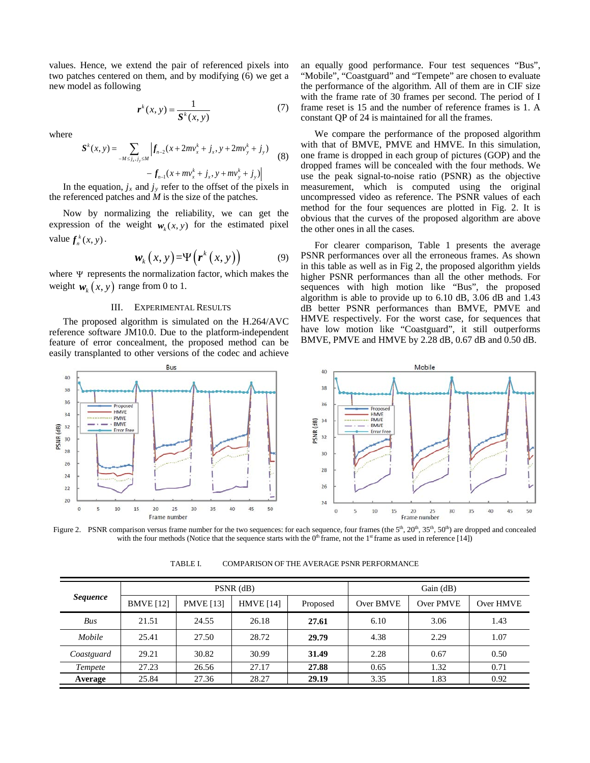values. Hence, we extend the pair of referenced pixels into two patches centered on them, and by modifying (6) we get a new model as following

$$
\boldsymbol{r}^k(x, y) = \frac{1}{\boldsymbol{S}^k(x, y)}\tag{7}
$$

where

$$
S^{k}(x, y) = \sum_{-M \le j_x, j_y \le M} \left| f_{n-2}(x + 2mv_x^k + j_x, y + 2mv_y^k + j_y) - f_{n-1}(x + mv_x^k + j_x, y + mv_y^k + j_y) \right| \tag{8}
$$

In the equation,  $j_x$  and  $j_y$  refer to the offset of the pixels in the referenced patches and *M* is the size of the patches.

Now by normalizing the reliability, we can get the expression of the weight  $w_k(x, y)$  for the estimated pixel value  $f_n^k(x, y)$ .

$$
\mathbf{w}_{k}\left(x,y\right) = \Psi\left(\mathbf{r}^{k}\left(x,y\right)\right) \tag{9}
$$

where Ψ represents the normalization factor, which makes the weight  $w_k(x, y)$  range from 0 to 1.

### III. EXPERIMENTAL RESULTS

The proposed algorithm is simulated on the H.264/AVC reference software JM10.0. Due to the platform-independent feature of error concealment, the proposed method can be easily transplanted to other versions of the codec and achieve

an equally good performance. Four test sequences "Bus", "Mobile", "Coastguard" and "Tempete" are chosen to evaluate the performance of the algorithm. All of them are in CIF size with the frame rate of 30 frames per second. The period of I frame reset is 15 and the number of reference frames is 1. A constant QP of 24 is maintained for all the frames.

We compare the performance of the proposed algorithm with that of BMVE, PMVE and HMVE. In this simulation, one frame is dropped in each group of pictures (GOP) and the dropped frames will be concealed with the four methods. We use the peak signal-to-noise ratio (PSNR) as the objective measurement, which is computed using the original uncompressed video as reference. The PSNR values of each method for the four sequences are plotted in Fig. 2. It is obvious that the curves of the proposed algorithm are above the other ones in all the cases.

For clearer comparison, Table 1 presents the average PSNR performances over all the erroneous frames. As shown in this table as well as in Fig 2, the proposed algorithm yields higher PSNR performances than all the other methods. For sequences with high motion like "Bus", the proposed algorithm is able to provide up to 6.10 dB, 3.06 dB and 1.43 dB better PSNR performances than BMVE, PMVE and HMVE respectively. For the worst case, for sequences that have low motion like "Coastguard", it still outperforms BMVE, PMVE and HMVE by 2.28 dB, 0.67 dB and 0.50 dB.



Figure 2. PSNR comparison versus frame number for the two sequences: for each sequence, four frames (the  $5<sup>th</sup>$ ,  $20<sup>th</sup>$ ,  $35<sup>th</sup>$ ,  $50<sup>th</sup>$ ) are dropped and concealed with the four methods (Notice that the sequence starts with the  $0<sup>th</sup>$  frame, not the 1<sup>st</sup> frame as used in reference [14])

| TABLE I. | COMPARISON OF THE AVERAGE PSNR PERFORMANCE |
|----------|--------------------------------------------|
|          |                                            |

| <b>Sequence</b> | $PSNR$ (dB)      |                  |                  |          | Gain $(dB)$ |           |           |
|-----------------|------------------|------------------|------------------|----------|-------------|-----------|-----------|
|                 | <b>BMVE</b> [12] | <b>PMVE</b> [13] | <b>HMVE</b> [14] | Proposed | Over BMVE   | Over PMVE | Over HMVE |
| Bus             | 21.51            | 24.55            | 26.18            | 27.61    | 6.10        | 3.06      | 1.43      |
| Mobile          | 25.41            | 27.50            | 28.72            | 29.79    | 4.38        | 2.29      | 1.07      |
| Coastguard      | 29.21            | 30.82            | 30.99            | 31.49    | 2.28        | 0.67      | 0.50      |
| Tempete         | 27.23            | 26.56            | 27.17            | 27.88    | 0.65        | 1.32      | 0.71      |
| Average         | 25.84            | 27.36            | 28.27            | 29.19    | 3.35        | 1.83      | 0.92      |